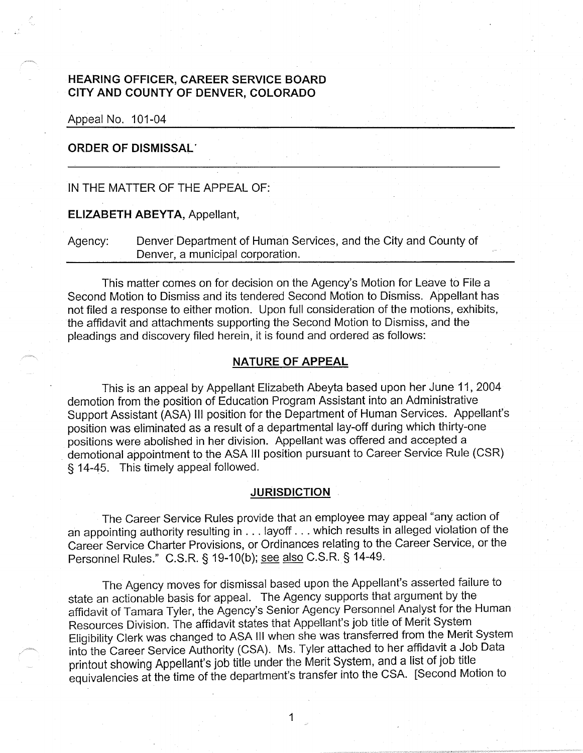## **HEARING OFFICER, CAREER SERVICE BOARD CITY AND COUNTY OF DENVER, COLORADO**

Appeal No. 101-04

#### **ORDER OF DISMISSAL·**

## IN THE MATTER OF THE APPEAL OF:

#### **ELIZABETH ABEYTA,** Appellant,

Agency: Denver Department of Human Services, and the City and County of Denver, a municipal corporation.

This matter comes on for decision on the Agency's Motion for Leave to File a Second Motion to Dismiss and its tendered Second Motion to Dismiss. Appellant has not filed a response to either motion. Upon full consideration of the motions, exhibits, the affidavit and attachments supporting the Second Motion to Dismiss, and the pleadings and discovery filed herein, it is found and ordered as follows:

## **NATURE OF APPEAL**

This is an appeal by Appellant Elizabeth Abeyta based upon her June 11, 2004 demotion from the position of Education Program Assistant into an Administrative Support Assistant (ASA) Ill position for the Department of Human Services. Appellant's position was eliminated as a result of a departmental lay-off during which thirty-one positions were abolished in her division. Appellant was offered and accepted a demotional appointment to the ASA Ill position pursuant to Career Service Rule (CSR) § 14-45. This timely appeal followed.

#### **JURISDICTION**

The Career Service Rules provide that an employee may appeal "any action of an appointing authority resulting in ... layoff ... which results in alleged violation of the Career Service Charter Provisions, or Ordinances relating to the Career Service, or the Personnel Rules." C.S.R. § 19-10(b); see also C.S.R. § 14-49.

The Agency moves for dismissal based upon the Appellant's asserted failure to state an actionable basis for appeal. The Agency supports that argument by the affidavit of Tamara Tyler, the Agency's Senior Agency Personnel Analyst for the Human Resources Division. The affidavit states that Appellant's job title of Merit System Eligibility Clerk was changed to ASA Ill when she was transferred from the Merit System into the Career Service Authority (CSA). Ms. Tyler attached to her affidavit a Job Data printout showing Appellant's job title under the Merit System, and a list of job title equivalencies at the time of the department's transfer into the CSA. [Second Motion to

1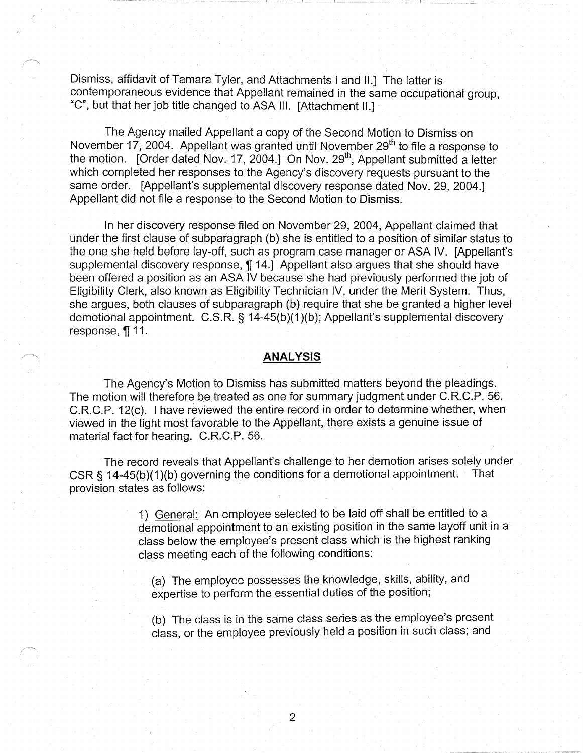Dismiss, affidavit of Tamara Tyler, and Attachments I and II.] The latter is contemporaneous evidence that Appellant remained in the same occupational group, "C", but that her job title changed to ASA Ill. [Attachment 11.]

The Agency mailed Appellant a copy of the Second Motion to Dismiss on November 17, 2004. Appellant was granted until November  $29<sup>th</sup>$  to file a response to the motion. [Order dated Nov. 17, 2004.] On Nov. 29<sup>th</sup>, Appellant submitted a letter which completed her responses to the Agency's discovery requests pursuant to the same order. [Appellant's supplemental discovery response dated Nov. 29, 2004.] Appellant did not file a response to the Second Motion to Dismiss.

In her discovery response filed on November 29, 2004, Appellant claimed that under the first clause of subparagraph (b) she is entitled to a position of similar status to the one she held before lay-off, such as program case manager or ASA IV. [Appellant's supplemental discovery response, **[14.]** Appellant also argues that she should have been offered a position as an ASA IV because she had previously performed the job of Eligibility Clerk, also known as Eligibility Technician IV, under the Merit System. Thus, she argues, both clauses of subparagraph (b) require that she be granted a higher level demotional appointment. C.S.R. § 14-45(b)(1)(b); Appellant's supplemental discovery response, ¶11.

#### **ANALYSIS**

The Agency's Motion to Dismiss has submitted matters beyond the pleadings. The motion will therefore be treated as one for summary judgment under C.R.C.P. 56. C.R.C.P. 12(c). I have reviewed the entire record in order to determine whether, when viewed in the light most favorable to the Appellant, there exists a genuine issue of material fact for hearing. C.R.C.P. 56.

The record reveals that Appellant's challenge to her demotion arises solely under CSR § 14-45(b)(1)(b) governing the conditions for a demotional appointment. That provision states as follows:

> 1) General: An employee selected to be laid off shall be entitled to a demotional appointment to an existing position in the same layoff unit in a class below the employee's present class which is the highest ranking class meeting each of the following conditions:

(a) The employee possesses the knowledge, skills, ability, and expertise to perform the essential duties of the position;

(b) The class is in the same class series as the employee's present class, or the employee previously held a position in such class; and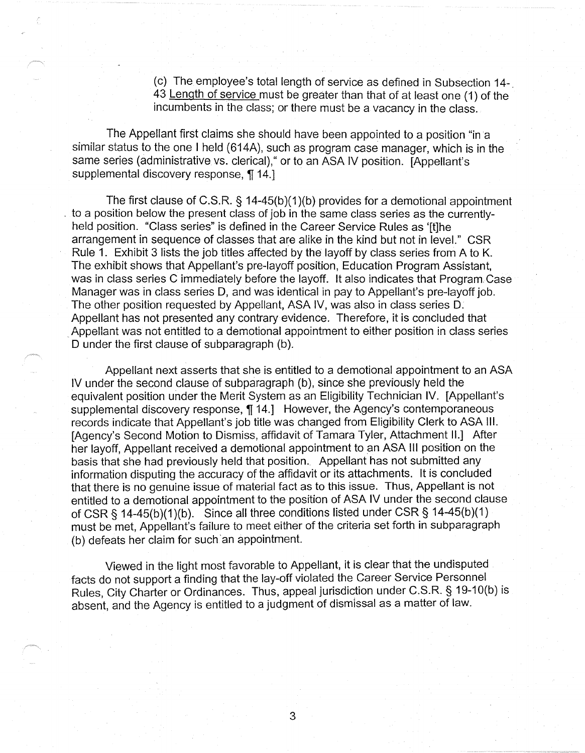(c) The employee's total length of service as defined in Subsection 14-. 43 Length of service must be greater than that of at least one (1) of the incumbents in the class; or there must be a vacancy in the class.

The Appellant first claims she should have been appointed to a position "in a similar status to the one I held (614A), such as program case manager, which is in the same series (administrative vs. clerical), " or to an ASA IV position. [Appellant's supplemental discovery response, ¶ 14.]

The first clause of C.S.R. § 14-45(b)(1 )(b) provides for a demotional appointment . to a position below the present class of job in the same class series as the currentlyheld position. "Class series" is defined in the Career Service Rules as '[t]he arrangement in sequence of classes that are alike in the kind but not in level." CSR Rule 1. Exhibit 3 lists the job titles affected by the layoff by class series from A to K. The exhibit shows that Appellant's pre-layoff position, Education Program Assistant, was in class series C immediately before the layoff. It also indicates that Program Case Manager was in class series D, and was identical in pay to Appellant's pre-layoff job. The other position requested by Appellant, ASA IV, was also in class series D. Appellant has not presented any contrary evidence. Therefore, it is concluded that Appellant was not entitled to a demotional appointment to either position in class series D under the first clause of subparagraph (b).

Appellant next asserts that she is entitled to a demotional appointment to an ASA IV under the second clause of subparagraph (b), since she previously held the equivalent position under the Merit System as an Eligibility Technician IV. [Appellant's supplemental discovery response, **1f** 14.] However, the Agency's contemporaneous records indicate that Appellant's job title was changed from Eligibility Clerk to ASA Ill. (Agency's Second Motion to Dismiss, affidavit of Tamara Tyler, Attachment II.] After her layoff, Appellant received a demotional appointment to an ASA Ill position on the basis that she had previously held that position. Appellant has not submitted any information disputing the accuracy of the affidavit or its attachments. It is concluded that there is no genuine issue of material fact as to this issue. Thus, Appellant is not entitled to a demotional appointment to the position of ASA IV under the second clause of CSR§ 14-45(b)(1)(b). Since all three conditions listed under CSR§ 14-45(b)(1) must be met, Appellant's failure to meet either of the criteria set forth in subparagraph (b) defeats her claim for such an appointment.

Viewed in the light most favorable to Appellant, it is clear that the undisputed facts do not support a finding that the lay-off violated the Career Service Personnel Rules, City Charter or Ordinances. Thus, appeal jurisdiction under C.S.R. § 19-10(b) is absent, and the Agency is entitled to a judgment of dismlssal as a matter of law.

3